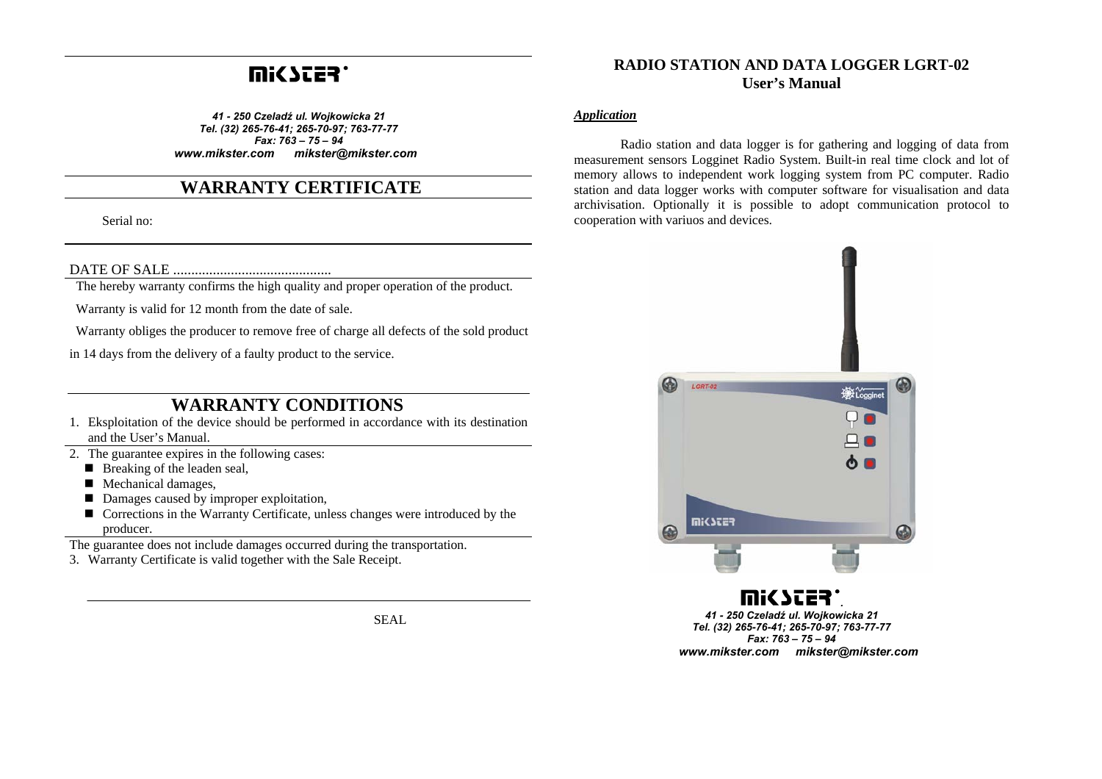# **UUSSES.**

*41 - 250 Czeladź ul. Wojkowicka 21 Tel. (32) 265-76-41; 265-70-97; 763-77-77 Fax: 763 – 75 – 94 www.mikster.com mikster@mikster.com*

## **WARRANTY CERTIFICATE**

Serial no:

DATE OF SALE ............................................

The hereby warranty confirms the high quality and proper operation of the product.

Warranty is valid for 12 month from the date of sale.

Warranty obliges the producer to remove free of charge all defects of the sold product

in 14 days from the delivery of a faulty product to the service.

## **WARRANTY CONDITIONS**

- 1. Eksploitation of the device should be performed in accordance with its destination and the User's Manual.
- 2. The guarantee expires in the following cases:
	- Breaking of the leaden seal,
	- Mechanical damages,
	- Damages caused by improper exploitation,
	- Corrections in the Warranty Certificate, unless changes were introduced by the producer.

The guarantee does not include damages occurred during the transportation.

3. Warranty Certificate is valid together with the Sale Receipt.

SEAL

## **RADIO STATION AND DATA LOGGER LGRT-02 User's Manual**

#### *Application*

Radio station and data logger is for gathering and logging of data from measurement sensors Logginet Radio System. Built-in real time clock and lot of memory allows to independent work logging system from PC computer. Radio station and data logger works with computer software for visualisation and data archivisation. Optionally it is possible to adopt communication protocol to cooperation with variuos and devices.



*. 41 - 250 Czeladź ul. Wojkowicka 21 Tel. (32) 265-76-41; 265-70-97; 763-77-77 Fax: 763 – 75 – 94 www.mikster.com mikster@mikster.com*